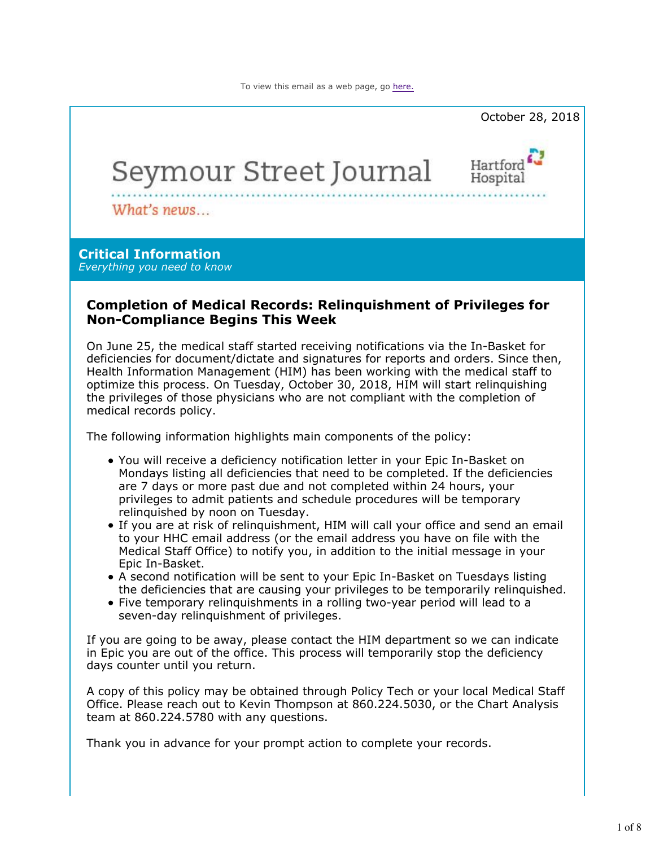

### **Completion of Medical Records: Relinquishment of Privileges for Non-Compliance Begins This Week**

On June 25, the medical staff started receiving notifications via the In-Basket for deficiencies for document/dictate and signatures for reports and orders. Since then, Health Information Management (HIM) has been working with the medical staff to optimize this process. On Tuesday, October 30, 2018, HIM will start relinquishing the privileges of those physicians who are not compliant with the completion of medical records policy.

The following information highlights main components of the policy:

- You will receive a deficiency notification letter in your Epic In-Basket on Mondays listing all deficiencies that need to be completed. If the deficiencies are 7 days or more past due and not completed within 24 hours, your privileges to admit patients and schedule procedures will be temporary relinquished by noon on Tuesday.
- If you are at risk of relinquishment, HIM will call your office and send an email to your HHC email address (or the email address you have on file with the Medical Staff Office) to notify you, in addition to the initial message in your Epic In-Basket.
- A second notification will be sent to your Epic In-Basket on Tuesdays listing the deficiencies that are causing your privileges to be temporarily relinquished.
- Five temporary relinquishments in a rolling two-year period will lead to a seven-day relinquishment of privileges.

If you are going to be away, please contact the HIM department so we can indicate in Epic you are out of the office. This process will temporarily stop the deficiency days counter until you return.

A copy of this policy may be obtained through Policy Tech or your local Medical Staff Office. Please reach out to Kevin Thompson at 860.224.5030, or the Chart Analysis team at 860.224.5780 with any questions.

Thank you in advance for your prompt action to complete your records.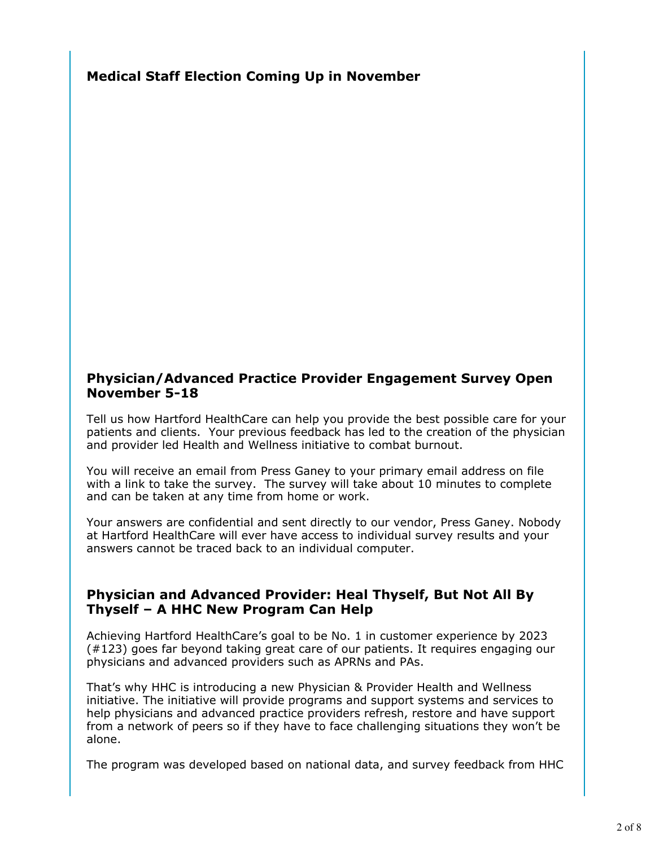**Medical Staff Election Coming Up in November**

## **Physician/Advanced Practice Provider Engagement Survey Open November 5-18**

Tell us how Hartford HealthCare can help you provide the best possible care for your patients and clients. Your previous feedback has led to the creation of the physician and provider led Health and Wellness initiative to combat burnout.

You will receive an email from Press Ganey to your primary email address on file with a link to take the survey. The survey will take about 10 minutes to complete and can be taken at any time from home or work.

Your answers are confidential and sent directly to our vendor, Press Ganey. Nobody at Hartford HealthCare will ever have access to individual survey results and your answers cannot be traced back to an individual computer.

## **Physician and Advanced Provider: Heal Thyself, But Not All By Thyself – A HHC New Program Can Help**

Achieving Hartford HealthCare's goal to be No. 1 in customer experience by 2023 (#123) goes far beyond taking great care of our patients. It requires engaging our physicians and advanced providers such as APRNs and PAs.

That's why HHC is introducing a new Physician & Provider Health and Wellness initiative. The initiative will provide programs and support systems and services to help physicians and advanced practice providers refresh, restore and have support from a network of peers so if they have to face challenging situations they won't be alone.

The program was developed based on national data, and survey feedback from HHC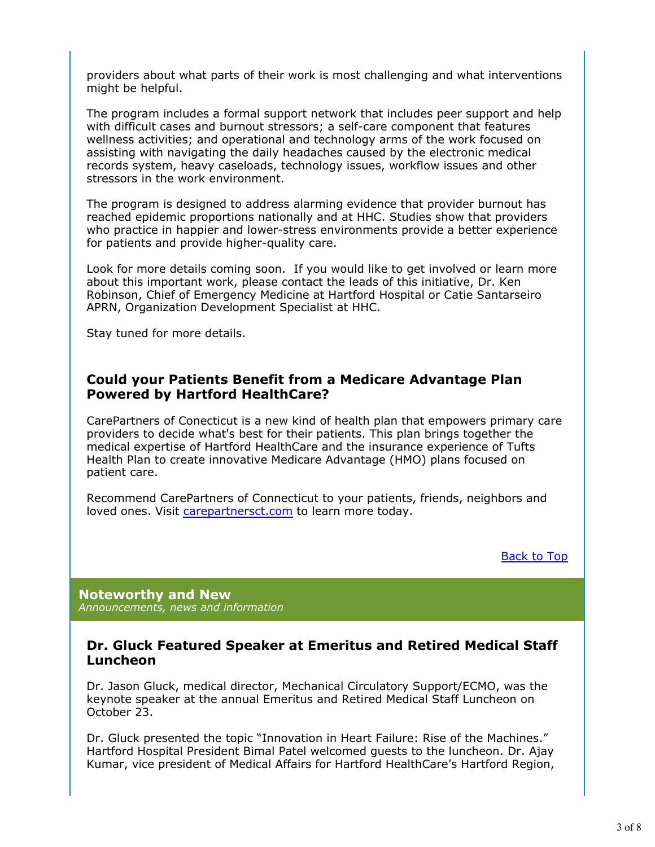providers about what parts of their work is most challenging and what interventions might be helpful.

The program includes a formal support network that includes peer support and help with difficult cases and burnout stressors; a self-care component that features wellness activities; and operational and technology arms of the work focused on assisting with navigating the daily headaches caused by the electronic medical records system, heavy caseloads, technology issues, workflow issues and other stressors in the work environment.

The program is designed to address alarming evidence that provider burnout has reached epidemic proportions nationally and at HHC. Studies show that providers who practice in happier and lower-stress environments provide a better experience for patients and provide higher-quality care.

Look for more details coming soon. If you would like to get involved or learn more about this important work, please contact the leads of this initiative, Dr. Ken Robinson, Chief of Emergency Medicine at Hartford Hospital or Catie Santarseiro APRN, Organization Development Specialist at HHC.

Stay tuned for more details.

### **Could your Patients Benefit from a Medicare Advantage Plan Powered by Hartford HealthCare?**

CarePartners of Conecticut is a new kind of health plan that empowers primary care providers to decide what's best for their patients. This plan brings together the medical expertise of Hartford HealthCare and the insurance experience of Tufts Health Plan to create innovative Medicare Advantage (HMO) plans focused on patient care.

Recommend CarePartners of Connecticut to your patients, friends, neighbors and loved ones. Visit carepartnersct.com to learn more today.

Back to Top

**Noteworthy and New** *Announcements, news and information*

### **Dr. Gluck Featured Speaker at Emeritus and Retired Medical Staff Luncheon**

Dr. Jason Gluck, medical director, Mechanical Circulatory Support/ECMO, was the keynote speaker at the annual Emeritus and Retired Medical Staff Luncheon on October 23.

Dr. Gluck presented the topic "Innovation in Heart Failure: Rise of the Machines." Hartford Hospital President Bimal Patel welcomed guests to the luncheon. Dr. Ajay Kumar, vice president of Medical Affairs for Hartford HealthCare's Hartford Region,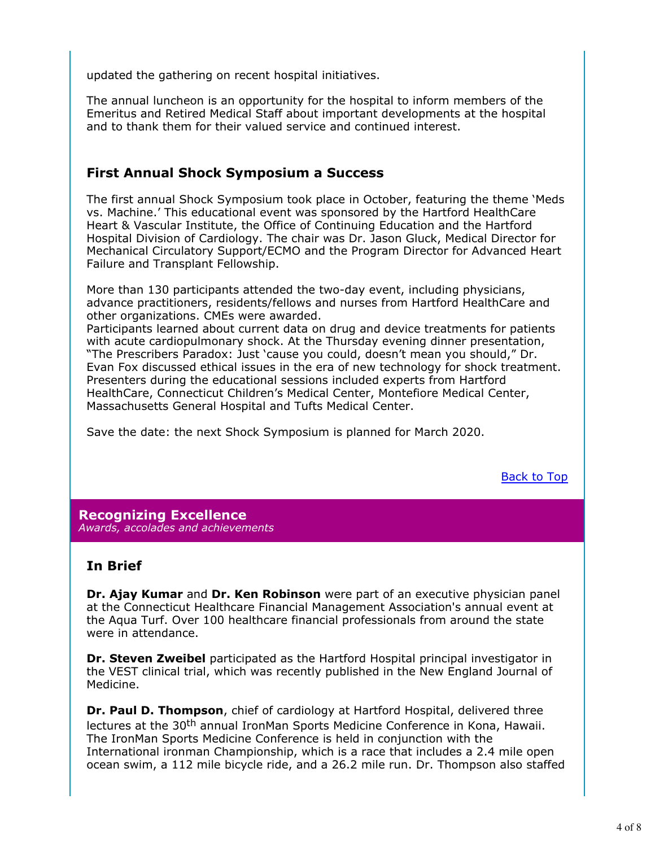updated the gathering on recent hospital initiatives.

The annual luncheon is an opportunity for the hospital to inform members of the Emeritus and Retired Medical Staff about important developments at the hospital and to thank them for their valued service and continued interest.

## **First Annual Shock Symposium a Success**

The first annual Shock Symposium took place in October, featuring the theme 'Meds vs. Machine.' This educational event was sponsored by the Hartford HealthCare Heart & Vascular Institute, the Office of Continuing Education and the Hartford Hospital Division of Cardiology. The chair was Dr. Jason Gluck, Medical Director for Mechanical Circulatory Support/ECMO and the Program Director for Advanced Heart Failure and Transplant Fellowship.

More than 130 participants attended the two-day event, including physicians, advance practitioners, residents/fellows and nurses from Hartford HealthCare and other organizations. CMEs were awarded.

Participants learned about current data on drug and device treatments for patients with acute cardiopulmonary shock. At the Thursday evening dinner presentation, "The Prescribers Paradox: Just 'cause you could, doesn't mean you should," Dr. Evan Fox discussed ethical issues in the era of new technology for shock treatment. Presenters during the educational sessions included experts from Hartford HealthCare, Connecticut Children's Medical Center, Montefiore Medical Center, Massachusetts General Hospital and Tufts Medical Center.

Save the date: the next Shock Symposium is planned for March 2020.

Back to Top

#### **Recognizing Excellence** *Awards, accolades and achievements*

## **In Brief**

**Dr. Ajay Kumar** and **Dr. Ken Robinson** were part of an executive physician panel at the Connecticut Healthcare Financial Management Association's annual event at the Aqua Turf. Over 100 healthcare financial professionals from around the state were in attendance.

**Dr. Steven Zweibel** participated as the Hartford Hospital principal investigator in the VEST clinical trial, which was recently published in the New England Journal of Medicine.

**Dr. Paul D. Thompson**, chief of cardiology at Hartford Hospital, delivered three lectures at the 30<sup>th</sup> annual IronMan Sports Medicine Conference in Kona, Hawaii. The IronMan Sports Medicine Conference is held in conjunction with the International ironman Championship, which is a race that includes a 2.4 mile open ocean swim, a 112 mile bicycle ride, and a 26.2 mile run. Dr. Thompson also staffed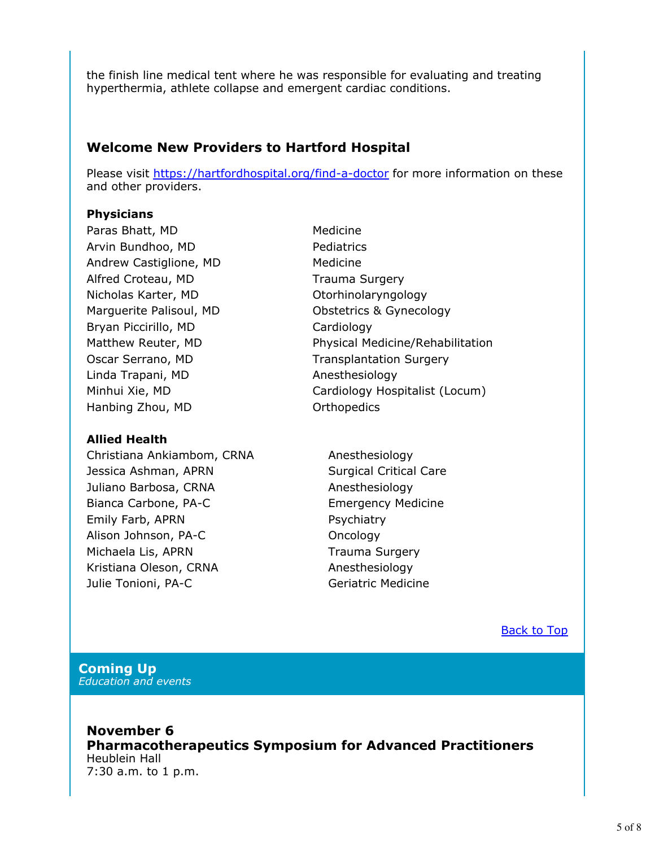the finish line medical tent where he was responsible for evaluating and treating hyperthermia, athlete collapse and emergent cardiac conditions.

## **Welcome New Providers to Hartford Hospital**

Please visit https://hartfordhospital.org/find-a-doctor for more information on these and other providers.

### **Physicians**

Paras Bhatt, MD Medicine Arvin Bundhoo, MD Pediatrics Andrew Castiglione, MD Medicine Alfred Croteau, MD Trauma Surgery Nicholas Karter, MD **Otorhinolaryngology** Bryan Piccirillo, MD Cardiology Linda Trapani, MD Anesthesiology Hanbing Zhou, MD **Orthopedics** 

### **Allied Health**

Christiana Ankiambom, CRNA Anesthesiology Jessica Ashman, APRN Surgical Critical Care Juliano Barbosa, CRNA Anesthesiology Bianca Carbone, PA-C Emergency Medicine Emily Farb, APRN PSychiatry Alison Johnson, PA-C Oncology Michaela Lis, APRN Trauma Surgery Kristiana Oleson, CRNA Anesthesiology Julie Tonioni, PA-C Geriatric Medicine

- Marguerite Palisoul, MD Obstetrics & Gynecology Matthew Reuter, MD Physical Medicine/Rehabilitation Oscar Serrano, MD Transplantation Surgery Minhui Xie, MD Cardiology Hospitalist (Locum)
	-

Back to Top

#### **Coming Up** *Education and events*

**November 6 Pharmacotherapeutics Symposium for Advanced Practitioners** Heublein Hall 7:30 a.m. to 1 p.m.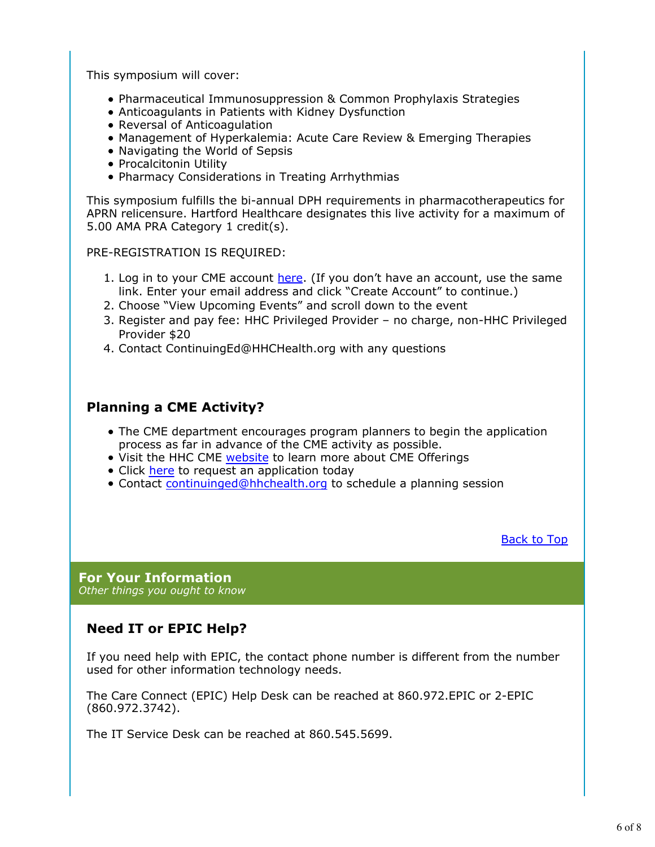This symposium will cover:

- Pharmaceutical Immunosuppression & Common Prophylaxis Strategies
- Anticoagulants in Patients with Kidney Dysfunction
- Reversal of Anticoagulation
- Management of Hyperkalemia: Acute Care Review & Emerging Therapies
- Navigating the World of Sepsis
- Procalcitonin Utility
- Pharmacy Considerations in Treating Arrhythmias

This symposium fulfills the bi-annual DPH requirements in pharmacotherapeutics for APRN relicensure. Hartford Healthcare designates this live activity for a maximum of 5.00 AMA PRA Category 1 credit(s).

PRE-REGISTRATION IS REQUIRED:

- 1. Log in to your CME account here. (If you don't have an account, use the same link. Enter your email address and click "Create Account" to continue.)
- 2. Choose "View Upcoming Events" and scroll down to the event
- 3. Register and pay fee: HHC Privileged Provider no charge, non-HHC Privileged Provider \$20
- 4. Contact ContinuingEd@HHCHealth.org with any questions

## **Planning a CME Activity?**

- The CME department encourages program planners to begin the application process as far in advance of the CME activity as possible.
- Visit the HHC CME website to learn more about CME Offerings
- Click here to request an application today
- Contact continuinged@hhchealth.org to schedule a planning session

Back to Top

**For Your Information** *Other things you ought to know*

# **Need IT or EPIC Help?**

If you need help with EPIC, the contact phone number is different from the number used for other information technology needs.

The Care Connect (EPIC) Help Desk can be reached at 860.972.EPIC or 2-EPIC (860.972.3742).

The IT Service Desk can be reached at 860.545.5699.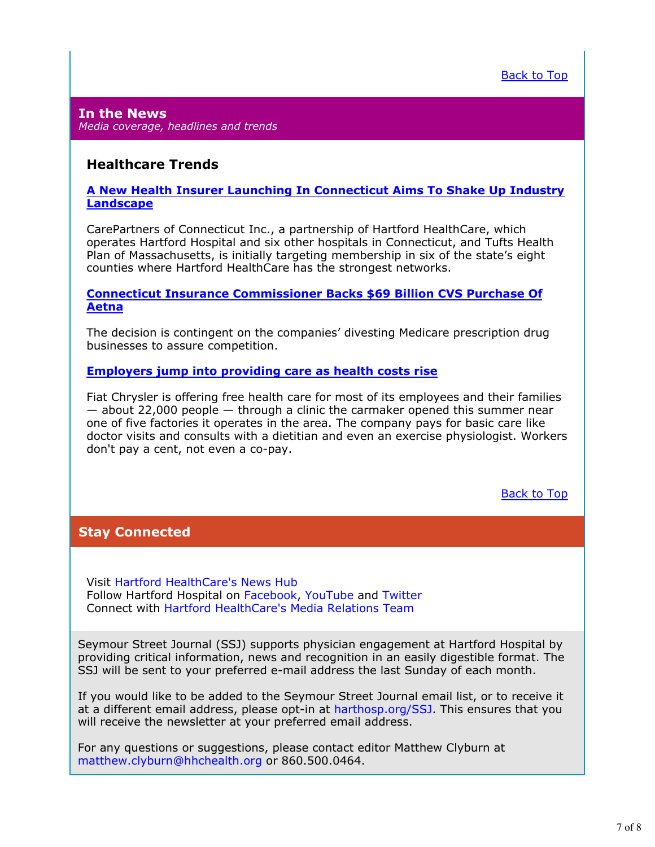#### **In the News** *Media coverage, headlines and trends*

### **Healthcare Trends**

#### **A New Health Insurer Launching In Connecticut Aims To Shake Up Industry Landscape**

CarePartners of Connecticut Inc., a partnership of Hartford HealthCare, which operates Hartford Hospital and six other hospitals in Connecticut, and Tufts Health Plan of Massachusetts, is initially targeting membership in six of the state's eight counties where Hartford HealthCare has the strongest networks.

#### **Connecticut Insurance Commissioner Backs \$69 Billion CVS Purchase Of Aetna**

The decision is contingent on the companies' divesting Medicare prescription drug businesses to assure competition.

#### **Employers jump into providing care as health costs rise**

Fiat Chrysler is offering free health care for most of its employees and their families — about 22,000 people — through a clinic the carmaker opened this summer near one of five factories it operates in the area. The company pays for basic care like doctor visits and consults with a dietitian and even an exercise physiologist. Workers don't pay a cent, not even a co-pay.

Back to Top

## **Stay Connected**

Visit Hartford HealthCare's News Hub Follow Hartford Hospital on Facebook, YouTube and Twitter Connect with Hartford HealthCare's Media Relations Team

Seymour Street Journal (SSJ) supports physician engagement at Hartford Hospital by providing critical information, news and recognition in an easily digestible format. The SSJ will be sent to your preferred e-mail address the last Sunday of each month.

If you would like to be added to the Seymour Street Journal email list, or to receive it at a different email address, please opt-in at harthosp.org/SSJ. This ensures that you will receive the newsletter at your preferred email address.

For any questions or suggestions, please contact editor Matthew Clyburn at matthew.clyburn@hhchealth.org or 860.500.0464.